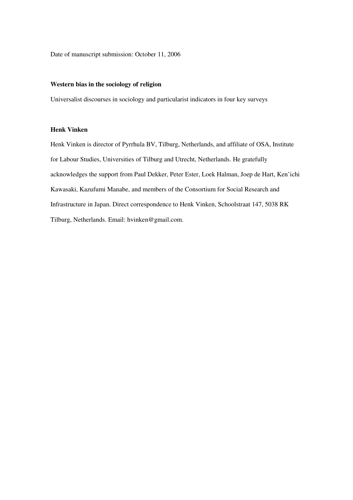Date of manuscript submission: October 11, 2006

# **Western bias in the sociology of religion**

Universalist discourses in sociology and particularist indicators in four key surveys

# **Henk Vinken**

Henk Vinken is director of Pyrrhula BV, Tilburg, Netherlands, and affiliate of OSA, Institute for Labour Studies, Universities of Tilburg and Utrecht, Netherlands. He gratefully acknowledges the support from Paul Dekker, Peter Ester, Loek Halman, Joep de Hart, Ken'ichi Kawasaki, Kazufumi Manabe, and members of the Consortium for Social Research and Infrastructure in Japan. Direct correspondence to Henk Vinken, Schoolstraat 147, 5038 RK Tilburg, Netherlands. Email: hvinken@gmail.com.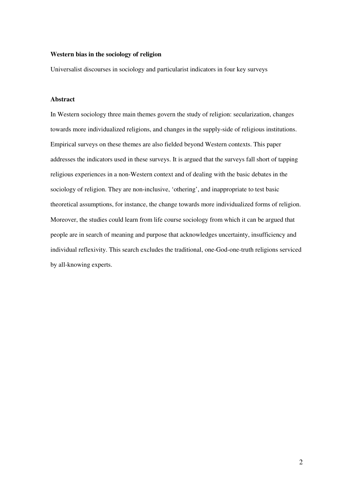## **Western bias in the sociology of religion**

Universalist discourses in sociology and particularist indicators in four key surveys

# **Abstract**

In Western sociology three main themes govern the study of religion: secularization, changes towards more individualized religions, and changes in the supply-side of religious institutions. Empirical surveys on these themes are also fielded beyond Western contexts. This paper addresses the indicators used in these surveys. It is argued that the surveys fall short of tapping religious experiences in a non-Western context and of dealing with the basic debates in the sociology of religion. They are non-inclusive, 'othering', and inappropriate to test basic theoretical assumptions, for instance, the change towards more individualized forms of religion. Moreover, the studies could learn from life course sociology from which it can be argued that people are in search of meaning and purpose that acknowledges uncertainty, insufficiency and individual reflexivity. This search excludes the traditional, one-God-one-truth religions serviced by all-knowing experts.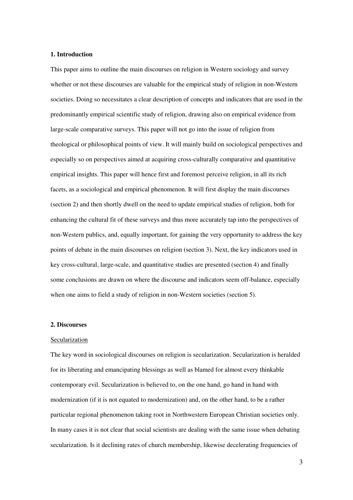### **1. Introduction**

This paper aims to outline the main discourses on religion in Western sociology and survey whether or not these discourses are valuable for the empirical study of religion in non-Western societies. Doing so necessitates a clear description of concepts and indicators that are used in the predominantly empirical scientific study of religion, drawing also on empirical evidence from large-scale comparative surveys. This paper will not go into the issue of religion from theological or philosophical points of view. It will mainly build on sociological perspectives and especially so on perspectives aimed at acquiring cross-culturally comparative and quantitative empirical insights. This paper will hence first and foremost perceive religion, in all its rich facets, as a sociological and empirical phenomenon. It will first display the main discourses (section 2) and then shortly dwell on the need to update empirical studies of religion, both for enhancing the cultural fit of these surveys and thus more accurately tap into the perspectives of non-Western publics, and, equally important, for gaining the very opportunity to address the key points of debate in the main discourses on religion (section 3). Next, the key indicators used in key cross-cultural, large-scale, and quantitative studies are presented (section 4) and finally some conclusions are drawn on where the discourse and indicators seem off-balance, especially when one aims to field a study of religion in non-Western societies (section 5).

### **2. Discourses**

#### Secularization

The key word in sociological discourses on religion is secularization. Secularization is heralded for its liberating and emancipating blessings as well as blamed for almost every thinkable contemporary evil. Secularization is believed to, on the one hand, go hand in hand with modernization (if it is not equated to modernization) and, on the other hand, to be a rather particular regional phenomenon taking root in Northwestern European Christian societies only. In many cases it is not clear that social scientists are dealing with the same issue when debating secularization. Is it declining rates of church membership, likewise decelerating frequencies of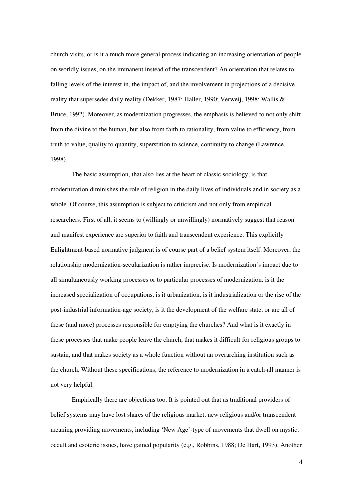church visits, or is it a much more general process indicating an increasing orientation of people on worldly issues, on the immanent instead of the transcendent? An orientation that relates to falling levels of the interest in, the impact of, and the involvement in projections of a decisive reality that supersedes daily reality (Dekker, 1987; Haller, 1990; Verweij, 1998; Wallis & Bruce, 1992). Moreover, as modernization progresses, the emphasis is believed to not only shift from the divine to the human, but also from faith to rationality, from value to efficiency, from truth to value, quality to quantity, superstition to science, continuity to change (Lawrence, 1998).

The basic assumption, that also lies at the heart of classic sociology, is that modernization diminishes the role of religion in the daily lives of individuals and in society as a whole. Of course, this assumption is subject to criticism and not only from empirical researchers. First of all, it seems to (willingly or unwillingly) normatively suggest that reason and manifest experience are superior to faith and transcendent experience. This explicitly Enlightment-based normative judgment is of course part of a belief system itself. Moreover, the relationship modernization-secularization is rather imprecise. Is modernization's impact due to all simultaneously working processes or to particular processes of modernization: is it the increased specialization of occupations, is it urbanization, is it industrialization or the rise of the post-industrial information-age society, is it the development of the welfare state, or are all of these (and more) processes responsible for emptying the churches? And what is it exactly in these processes that make people leave the church, that makes it difficult for religious groups to sustain, and that makes society as a whole function without an overarching institution such as the church. Without these specifications, the reference to modernization in a catch-all manner is not very helpful.

Empirically there are objections too. It is pointed out that as traditional providers of belief systems may have lost shares of the religious market, new religious and/or transcendent meaning providing movements, including 'New Age'-type of movements that dwell on mystic, occult and esoteric issues, have gained popularity (e.g., Robbins, 1988; De Hart, 1993). Another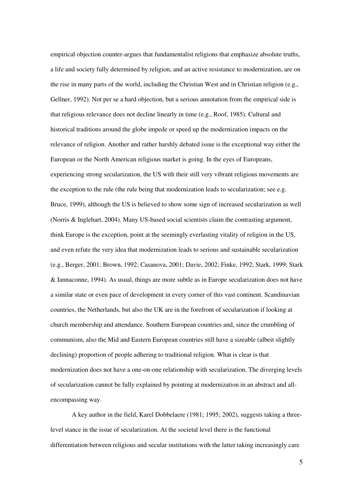empirical objection counter-argues that fundamentalist religions that emphasize absolute truths, a life and society fully determined by religion, and an active resistance to modernization, are on the rise in many parts of the world, including the Christian West and in Christian religion (e.g., Gellner, 1992). Not per se a hard objection, but a serious annotation from the empirical side is that religious relevance does not decline linearly in time (e.g., Roof, 1985). Cultural and historical traditions around the globe impede or speed up the modernization impacts on the relevance of religion. Another and rather harshly debated issue is the exceptional way either the European or the North American religious market is going. In the eyes of Europeans, experiencing strong secularization, the US with their still very vibrant religious movements are the exception to the rule (the rule being that modernization leads to secularization; see e.g. Bruce, 1999), although the US is believed to show some sign of increased secularization as well (Norris & Inglehart, 2004). Many US-based social scientists claim the contrasting argument, think Europe is the exception, point at the seemingly everlasting vitality of religion in the US, and even refute the very idea that modernization leads to serious and sustainable secularization (e.g., Berger, 2001; Brown, 1992; Casanova, 2001; Davie, 2002; Finke, 1992; Stark, 1999; Stark & Iannaconne, 1994). As usual, things are more subtle as in Europe secularization does not have a similar state or even pace of development in every corner of this vast continent. Scandinavian countries, the Netherlands, but also the UK are in the forefront of secularization if looking at church membership and attendance. Southern European countries and, since the crumbling of communism, also the Mid and Eastern European countries still have a sizeable (albeit slightly declining) proportion of people adhering to traditional religion. What is clear is that modernization does not have a one-on-one relationship with secularization. The diverging levels of secularization cannot be fully explained by pointing at modernization in an abstract and allencompassing way.

A key author in the field, Karel Dobbelaere (1981; 1995; 2002), suggests taking a threelevel stance in the issue of secularization. At the societal level there is the functional differentiation between religious and secular institutions with the latter taking increasingly care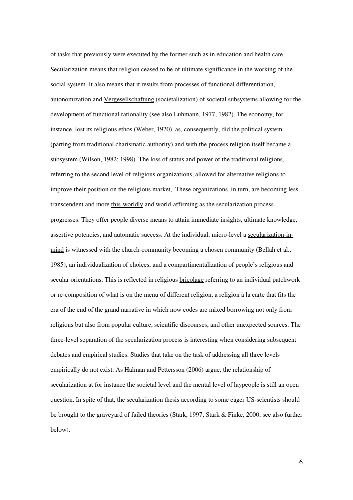of tasks that previously were executed by the former such as in education and health care. Secularization means that religion ceased to be of ultimate significance in the working of the social system. It also means that it results from processes of functional differentiation, autonomization and Vergesellschaftung (societalization) of societal subsystems allowing for the development of functional rationality (see also Luhmann, 1977, 1982). The economy, for instance, lost its religious ethos (Weber, 1920), as, consequently, did the political system (parting from traditional charismatic authority) and with the process religion itself became a subsystem (Wilson, 1982; 1998). The loss of status and power of the traditional religions, referring to the second level of religious organizations, allowed for alternative religions to improve their position on the religious market,. These organizations, in turn, are becoming less transcendent and more this-worldly and world-affirming as the secularization process progresses. They offer people diverse means to attain immediate insights, ultimate knowledge, assertive potencies, and automatic success. At the individual, micro-level a secularization-inmind is witnessed with the church-community becoming a chosen community (Bellah et al., 1985), an individualization of choices, and a compartimentalization of people's religious and secular orientations. This is reflected in religious bricolage referring to an individual patchwork or re-composition of what is on the menu of different religion, a religion à la carte that fits the era of the end of the grand narrative in which now codes are mixed borrowing not only from religions but also from popular culture, scientific discourses, and other unexpected sources. The three-level separation of the secularization process is interesting when considering subsequent debates and empirical studies. Studies that take on the task of addressing all three levels empirically do not exist. As Halman and Pettersson (2006) argue, the relationship of secularization at for instance the societal level and the mental level of laypeople is still an open question. In spite of that, the secularization thesis according to some eager US-scientists should be brought to the graveyard of failed theories (Stark, 1997; Stark & Finke, 2000; see also further below).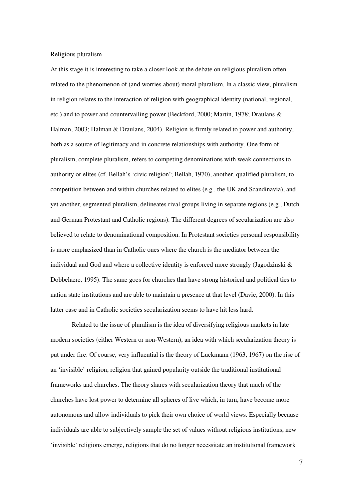### Religious pluralism

At this stage it is interesting to take a closer look at the debate on religious pluralism often related to the phenomenon of (and worries about) moral pluralism. In a classic view, pluralism in religion relates to the interaction of religion with geographical identity (national, regional, etc.) and to power and countervailing power (Beckford, 2000; Martin, 1978; Draulans & Halman, 2003; Halman & Draulans, 2004). Religion is firmly related to power and authority, both as a source of legitimacy and in concrete relationships with authority. One form of pluralism, complete pluralism, refers to competing denominations with weak connections to authority or elites (cf. Bellah's 'civic religion'; Bellah, 1970), another, qualified pluralism, to competition between and within churches related to elites (e.g., the UK and Scandinavia), and yet another, segmented pluralism, delineates rival groups living in separate regions (e.g., Dutch and German Protestant and Catholic regions). The different degrees of secularization are also believed to relate to denominational composition. In Protestant societies personal responsibility is more emphasized than in Catholic ones where the church is the mediator between the individual and God and where a collective identity is enforced more strongly (Jagodzinski & Dobbelaere, 1995). The same goes for churches that have strong historical and political ties to nation state institutions and are able to maintain a presence at that level (Davie, 2000). In this latter case and in Catholic societies secularization seems to have hit less hard.

Related to the issue of pluralism is the idea of diversifying religious markets in late modern societies (either Western or non-Western), an idea with which secularization theory is put under fire. Of course, very influential is the theory of Luckmann (1963, 1967) on the rise of an 'invisible' religion, religion that gained popularity outside the traditional institutional frameworks and churches. The theory shares with secularization theory that much of the churches have lost power to determine all spheres of live which, in turn, have become more autonomous and allow individuals to pick their own choice of world views. Especially because individuals are able to subjectively sample the set of values without religious institutions, new 'invisible' religions emerge, religions that do no longer necessitate an institutional framework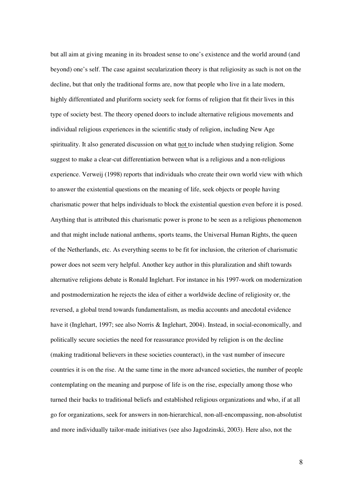but all aim at giving meaning in its broadest sense to one's existence and the world around (and beyond) one's self. The case against secularization theory is that religiosity as such is not on the decline, but that only the traditional forms are, now that people who live in a late modern, highly differentiated and pluriform society seek for forms of religion that fit their lives in this type of society best. The theory opened doors to include alternative religious movements and individual religious experiences in the scientific study of religion, including New Age spirituality. It also generated discussion on what not to include when studying religion. Some suggest to make a clear-cut differentiation between what is a religious and a non-religious experience. Verweij (1998) reports that individuals who create their own world view with which to answer the existential questions on the meaning of life, seek objects or people having charismatic power that helps individuals to block the existential question even before it is posed. Anything that is attributed this charismatic power is prone to be seen as a religious phenomenon and that might include national anthems, sports teams, the Universal Human Rights, the queen of the Netherlands, etc. As everything seems to be fit for inclusion, the criterion of charismatic power does not seem very helpful. Another key author in this pluralization and shift towards alternative religions debate is Ronald Inglehart. For instance in his 1997-work on modernization and postmodernization he rejects the idea of either a worldwide decline of religiosity or, the reversed, a global trend towards fundamentalism, as media accounts and anecdotal evidence have it (Inglehart, 1997; see also Norris & Inglehart, 2004). Instead, in social-economically, and politically secure societies the need for reassurance provided by religion is on the decline (making traditional believers in these societies counteract), in the vast number of insecure countries it is on the rise. At the same time in the more advanced societies, the number of people contemplating on the meaning and purpose of life is on the rise, especially among those who turned their backs to traditional beliefs and established religious organizations and who, if at all go for organizations, seek for answers in non-hierarchical, non-all-encompassing, non-absolutist and more individually tailor-made initiatives (see also Jagodzinski, 2003). Here also, not the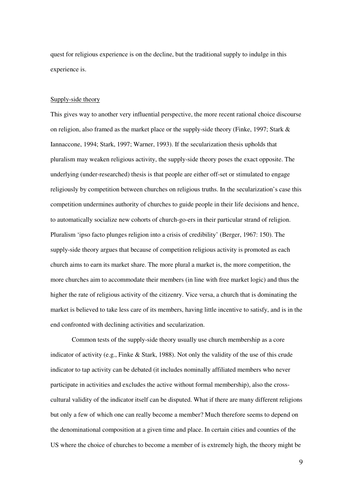quest for religious experience is on the decline, but the traditional supply to indulge in this experience is.

#### Supply-side theory

This gives way to another very influential perspective, the more recent rational choice discourse on religion, also framed as the market place or the supply-side theory (Finke, 1997; Stark  $\&$ Iannaccone, 1994; Stark, 1997; Warner, 1993). If the secularization thesis upholds that pluralism may weaken religious activity, the supply-side theory poses the exact opposite. The underlying (under-researched) thesis is that people are either off-set or stimulated to engage religiously by competition between churches on religious truths. In the secularization's case this competition undermines authority of churches to guide people in their life decisions and hence, to automatically socialize new cohorts of church-go-ers in their particular strand of religion. Pluralism 'ipso facto plunges religion into a crisis of credibility' (Berger, 1967: 150). The supply-side theory argues that because of competition religious activity is promoted as each church aims to earn its market share. The more plural a market is, the more competition, the more churches aim to accommodate their members (in line with free market logic) and thus the higher the rate of religious activity of the citizenry. Vice versa, a church that is dominating the market is believed to take less care of its members, having little incentive to satisfy, and is in the end confronted with declining activities and secularization.

Common tests of the supply-side theory usually use church membership as a core indicator of activity (e.g., Finke & Stark, 1988). Not only the validity of the use of this crude indicator to tap activity can be debated (it includes nominally affiliated members who never participate in activities and excludes the active without formal membership), also the crosscultural validity of the indicator itself can be disputed. What if there are many different religions but only a few of which one can really become a member? Much therefore seems to depend on the denominational composition at a given time and place. In certain cities and counties of the US where the choice of churches to become a member of is extremely high, the theory might be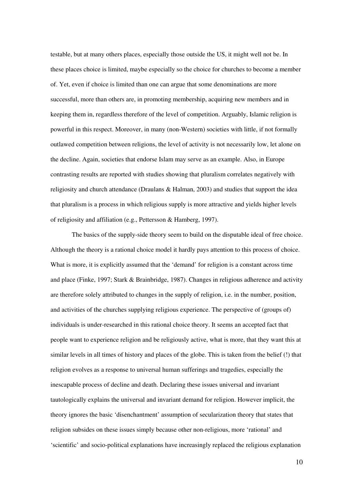testable, but at many others places, especially those outside the US, it might well not be. In these places choice is limited, maybe especially so the choice for churches to become a member of. Yet, even if choice is limited than one can argue that some denominations are more successful, more than others are, in promoting membership, acquiring new members and in keeping them in, regardless therefore of the level of competition. Arguably, Islamic religion is powerful in this respect. Moreover, in many (non-Western) societies with little, if not formally outlawed competition between religions, the level of activity is not necessarily low, let alone on the decline. Again, societies that endorse Islam may serve as an example. Also, in Europe contrasting results are reported with studies showing that pluralism correlates negatively with religiosity and church attendance (Draulans & Halman, 2003) and studies that support the idea that pluralism is a process in which religious supply is more attractive and yields higher levels of religiosity and affiliation (e.g., Pettersson & Hamberg, 1997).

The basics of the supply-side theory seem to build on the disputable ideal of free choice. Although the theory is a rational choice model it hardly pays attention to this process of choice. What is more, it is explicitly assumed that the 'demand' for religion is a constant across time and place (Finke, 1997; Stark & Brainbridge, 1987). Changes in religious adherence and activity are therefore solely attributed to changes in the supply of religion, i.e. in the number, position, and activities of the churches supplying religious experience. The perspective of (groups of) individuals is under-researched in this rational choice theory. It seems an accepted fact that people want to experience religion and be religiously active, what is more, that they want this at similar levels in all times of history and places of the globe. This is taken from the belief (!) that religion evolves as a response to universal human sufferings and tragedies, especially the inescapable process of decline and death. Declaring these issues universal and invariant tautologically explains the universal and invariant demand for religion. However implicit, the theory ignores the basic 'disenchantment' assumption of secularization theory that states that religion subsides on these issues simply because other non-religious, more 'rational' and 'scientific' and socio-political explanations have increasingly replaced the religious explanation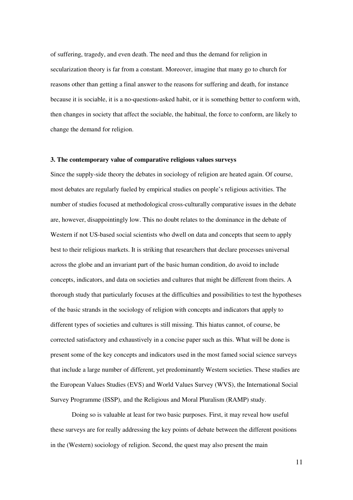of suffering, tragedy, and even death. The need and thus the demand for religion in secularization theory is far from a constant. Moreover, imagine that many go to church for reasons other than getting a final answer to the reasons for suffering and death, for instance because it is sociable, it is a no-questions-asked habit, or it is something better to conform with, then changes in society that affect the sociable, the habitual, the force to conform, are likely to change the demand for religion.

### **3. The contemporary value of comparative religious values surveys**

Since the supply-side theory the debates in sociology of religion are heated again. Of course, most debates are regularly fueled by empirical studies on people's religious activities. The number of studies focused at methodological cross-culturally comparative issues in the debate are, however, disappointingly low. This no doubt relates to the dominance in the debate of Western if not US-based social scientists who dwell on data and concepts that seem to apply best to their religious markets. It is striking that researchers that declare processes universal across the globe and an invariant part of the basic human condition, do avoid to include concepts, indicators, and data on societies and cultures that might be different from theirs. A thorough study that particularly focuses at the difficulties and possibilities to test the hypotheses of the basic strands in the sociology of religion with concepts and indicators that apply to different types of societies and cultures is still missing. This hiatus cannot, of course, be corrected satisfactory and exhaustively in a concise paper such as this. What will be done is present some of the key concepts and indicators used in the most famed social science surveys that include a large number of different, yet predominantly Western societies. These studies are the European Values Studies (EVS) and World Values Survey (WVS), the International Social Survey Programme (ISSP), and the Religious and Moral Pluralism (RAMP) study.

Doing so is valuable at least for two basic purposes. First, it may reveal how useful these surveys are for really addressing the key points of debate between the different positions in the (Western) sociology of religion. Second, the quest may also present the main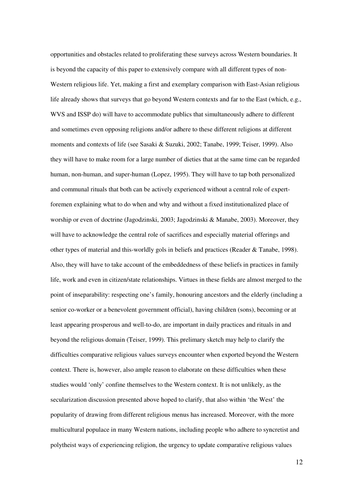opportunities and obstacles related to proliferating these surveys across Western boundaries. It is beyond the capacity of this paper to extensively compare with all different types of non-Western religious life. Yet, making a first and exemplary comparison with East-Asian religious life already shows that surveys that go beyond Western contexts and far to the East (which, e.g., WVS and ISSP do) will have to accommodate publics that simultaneously adhere to different and sometimes even opposing religions and/or adhere to these different religions at different moments and contexts of life (see Sasaki & Suzuki, 2002; Tanabe, 1999; Teiser, 1999). Also they will have to make room for a large number of dieties that at the same time can be regarded human, non-human, and super-human (Lopez, 1995). They will have to tap both personalized and communal rituals that both can be actively experienced without a central role of expertforemen explaining what to do when and why and without a fixed institutionalized place of worship or even of doctrine (Jagodzinski, 2003; Jagodzinski & Manabe, 2003). Moreover, they will have to acknowledge the central role of sacrifices and especially material offerings and other types of material and this-worldly gols in beliefs and practices (Reader & Tanabe, 1998). Also, they will have to take account of the embeddedness of these beliefs in practices in family life, work and even in citizen/state relationships. Virtues in these fields are almost merged to the point of inseparability: respecting one's family, honouring ancestors and the elderly (including a senior co-worker or a benevolent government official), having children (sons), becoming or at least appearing prosperous and well-to-do, are important in daily practices and rituals in and beyond the religious domain (Teiser, 1999). This prelimary sketch may help to clarify the difficulties comparative religious values surveys encounter when exported beyond the Western context. There is, however, also ample reason to elaborate on these difficulties when these studies would 'only' confine themselves to the Western context. It is not unlikely, as the secularization discussion presented above hoped to clarify, that also within 'the West' the popularity of drawing from different religious menus has increased. Moreover, with the more multicultural populace in many Western nations, including people who adhere to syncretist and polytheist ways of experiencing religion, the urgency to update comparative religious values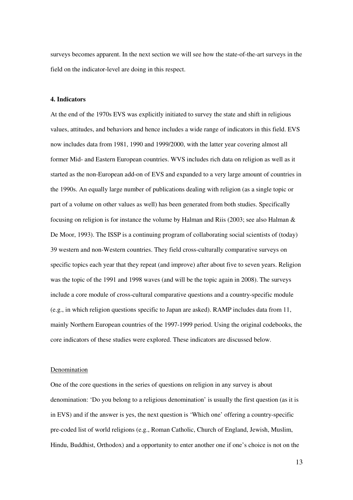surveys becomes apparent. In the next section we will see how the state-of-the-art surveys in the field on the indicator-level are doing in this respect.

### **4. Indicators**

At the end of the 1970s EVS was explicitly initiated to survey the state and shift in religious values, attitudes, and behaviors and hence includes a wide range of indicators in this field. EVS now includes data from 1981, 1990 and 1999/2000, with the latter year covering almost all former Mid- and Eastern European countries. WVS includes rich data on religion as well as it started as the non-European add-on of EVS and expanded to a very large amount of countries in the 1990s. An equally large number of publications dealing with religion (as a single topic or part of a volume on other values as well) has been generated from both studies. Specifically focusing on religion is for instance the volume by Halman and Riis (2003; see also Halman & De Moor, 1993). The ISSP is a continuing program of collaborating social scientists of (today) 39 western and non-Western countries. They field cross-culturally comparative surveys on specific topics each year that they repeat (and improve) after about five to seven years. Religion was the topic of the 1991 and 1998 waves (and will be the topic again in 2008). The surveys include a core module of cross-cultural comparative questions and a country-specific module (e.g., in which religion questions specific to Japan are asked). RAMP includes data from 11, mainly Northern European countries of the 1997-1999 period. Using the original codebooks, the core indicators of these studies were explored. These indicators are discussed below.

#### Denomination

One of the core questions in the series of questions on religion in any survey is about denomination: 'Do you belong to a religious denomination' is usually the first question (as it is in EVS) and if the answer is yes, the next question is 'Which one' offering a country-specific pre-coded list of world religions (e.g., Roman Catholic, Church of England, Jewish, Muslim, Hindu, Buddhist, Orthodox) and a opportunity to enter another one if one's choice is not on the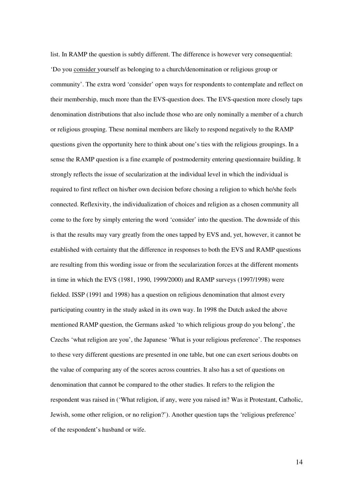list. In RAMP the question is subtly different. The difference is however very consequential: 'Do you consider yourself as belonging to a church/denomination or religious group or community'. The extra word 'consider' open ways for respondents to contemplate and reflect on their membership, much more than the EVS-question does. The EVS-question more closely taps denomination distributions that also include those who are only nominally a member of a church or religious grouping. These nominal members are likely to respond negatively to the RAMP questions given the opportunity here to think about one's ties with the religious groupings. In a sense the RAMP question is a fine example of postmodernity entering questionnaire building. It strongly reflects the issue of secularization at the individual level in which the individual is required to first reflect on his/her own decision before chosing a religion to which he/she feels connected. Reflexivity, the individualization of choices and religion as a chosen community all come to the fore by simply entering the word 'consider' into the question. The downside of this is that the results may vary greatly from the ones tapped by EVS and, yet, however, it cannot be established with certainty that the difference in responses to both the EVS and RAMP questions are resulting from this wording issue or from the secularization forces at the different moments in time in which the EVS (1981, 1990, 1999/2000) and RAMP surveys (1997/1998) were fielded. ISSP (1991 and 1998) has a question on religious denomination that almost every participating country in the study asked in its own way. In 1998 the Dutch asked the above mentioned RAMP question, the Germans asked 'to which religious group do you belong', the Czechs 'what religion are you', the Japanese 'What is your religious preference'. The responses to these very different questions are presented in one table, but one can exert serious doubts on the value of comparing any of the scores across countries. It also has a set of questions on denomination that cannot be compared to the other studies. It refers to the religion the respondent was raised in ('What religion, if any, were you raised in? Was it Protestant, Catholic, Jewish, some other religion, or no religion?'). Another question taps the 'religious preference' of the respondent's husband or wife.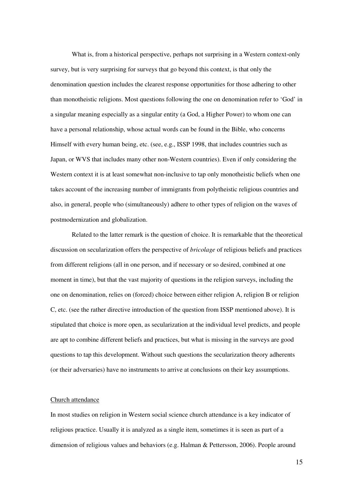What is, from a historical perspective, perhaps not surprising in a Western context-only survey, but is very surprising for surveys that go beyond this context, is that only the denomination question includes the clearest response opportunities for those adhering to other than monotheistic religions. Most questions following the one on denomination refer to 'God' in a singular meaning especially as a singular entity (a God, a Higher Power) to whom one can have a personal relationship, whose actual words can be found in the Bible, who concerns Himself with every human being, etc. (see, e.g., ISSP 1998, that includes countries such as Japan, or WVS that includes many other non-Western countries). Even if only considering the Western context it is at least somewhat non-inclusive to tap only monotheistic beliefs when one takes account of the increasing number of immigrants from polytheistic religious countries and also, in general, people who (simultaneously) adhere to other types of religion on the waves of postmodernization and globalization.

Related to the latter remark is the question of choice. It is remarkable that the theoretical discussion on secularization offers the perspective of *bricolage* of religious beliefs and practices from different religions (all in one person, and if necessary or so desired, combined at one moment in time), but that the vast majority of questions in the religion surveys, including the one on denomination, relies on (forced) choice between either religion A, religion B or religion C, etc. (see the rather directive introduction of the question from ISSP mentioned above). It is stipulated that choice is more open, as secularization at the individual level predicts, and people are apt to combine different beliefs and practices, but what is missing in the surveys are good questions to tap this development. Without such questions the secularization theory adherents (or their adversaries) have no instruments to arrive at conclusions on their key assumptions.

### Church attendance

In most studies on religion in Western social science church attendance is a key indicator of religious practice. Usually it is analyzed as a single item, sometimes it is seen as part of a dimension of religious values and behaviors (e.g. Halman & Pettersson, 2006). People around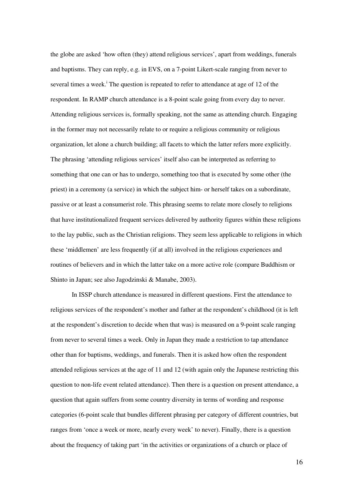the globe are asked 'how often (they) attend religious services', apart from weddings, funerals and baptisms. They can reply, e.g. in EVS, on a 7-point Likert-scale ranging from never to several times a week.<sup>i</sup> The question is repeated to refer to attendance at age of 12 of the respondent. In RAMP church attendance is a 8-point scale going from every day to never. Attending religious services is, formally speaking, not the same as attending church. Engaging in the former may not necessarily relate to or require a religious community or religious organization, let alone a church building; all facets to which the latter refers more explicitly. The phrasing 'attending religious services' itself also can be interpreted as referring to something that one can or has to undergo, something too that is executed by some other (the priest) in a ceremony (a service) in which the subject him- or herself takes on a subordinate, passive or at least a consumerist role. This phrasing seems to relate more closely to religions that have institutionalized frequent services delivered by authority figures within these religions to the lay public, such as the Christian religions. They seem less applicable to religions in which these 'middlemen' are less frequently (if at all) involved in the religious experiences and routines of believers and in which the latter take on a more active role (compare Buddhism or Shinto in Japan; see also Jagodzinski & Manabe, 2003).

In ISSP church attendance is measured in different questions. First the attendance to religious services of the respondent's mother and father at the respondent's childhood (it is left at the respondent's discretion to decide when that was) is measured on a 9-point scale ranging from never to several times a week. Only in Japan they made a restriction to tap attendance other than for baptisms, weddings, and funerals. Then it is asked how often the respondent attended religious services at the age of 11 and 12 (with again only the Japanese restricting this question to non-life event related attendance). Then there is a question on present attendance, a question that again suffers from some country diversity in terms of wording and response categories (6-point scale that bundles different phrasing per category of different countries, but ranges from 'once a week or more, nearly every week' to never). Finally, there is a question about the frequency of taking part 'in the activities or organizations of a church or place of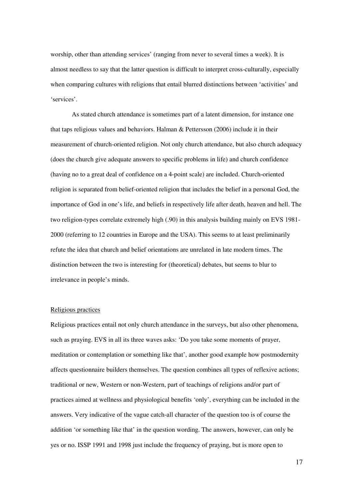worship, other than attending services' (ranging from never to several times a week). It is almost needless to say that the latter question is difficult to interpret cross-culturally, especially when comparing cultures with religions that entail blurred distinctions between 'activities' and 'services'.

As stated church attendance is sometimes part of a latent dimension, for instance one that taps religious values and behaviors. Halman & Pettersson (2006) include it in their measurement of church-oriented religion. Not only church attendance, but also church adequacy (does the church give adequate answers to specific problems in life) and church confidence (having no to a great deal of confidence on a 4-point scale) are included. Church-oriented religion is separated from belief-oriented religion that includes the belief in a personal God, the importance of God in one's life, and beliefs in respectively life after death, heaven and hell. The two religion-types correlate extremely high (.90) in this analysis building mainly on EVS 1981- 2000 (referring to 12 countries in Europe and the USA). This seems to at least preliminarily refute the idea that church and belief orientations are unrelated in late modern times. The distinction between the two is interesting for (theoretical) debates, but seems to blur to irrelevance in people's minds.

# Religious practices

Religious practices entail not only church attendance in the surveys, but also other phenomena, such as praying. EVS in all its three waves asks: 'Do you take some moments of prayer, meditation or contemplation or something like that', another good example how postmodernity affects questionnaire builders themselves. The question combines all types of reflexive actions; traditional or new, Western or non-Western, part of teachings of religions and/or part of practices aimed at wellness and physiological benefits 'only', everything can be included in the answers. Very indicative of the vague catch-all character of the question too is of course the addition 'or something like that' in the question wording. The answers, however, can only be yes or no. ISSP 1991 and 1998 just include the frequency of praying, but is more open to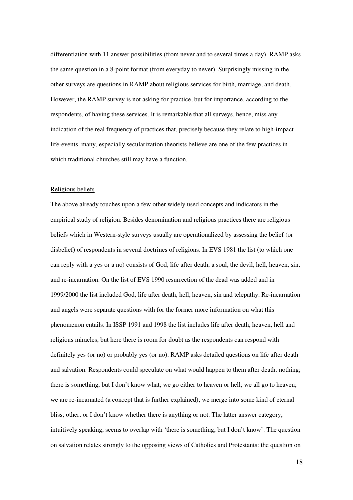differentiation with 11 answer possibilities (from never and to several times a day). RAMP asks the same question in a 8-point format (from everyday to never). Surprisingly missing in the other surveys are questions in RAMP about religious services for birth, marriage, and death. However, the RAMP survey is not asking for practice, but for importance, according to the respondents, of having these services. It is remarkable that all surveys, hence, miss any indication of the real frequency of practices that, precisely because they relate to high-impact life-events, many, especially secularization theorists believe are one of the few practices in which traditional churches still may have a function.

### Religious beliefs

The above already touches upon a few other widely used concepts and indicators in the empirical study of religion. Besides denomination and religious practices there are religious beliefs which in Western-style surveys usually are operationalized by assessing the belief (or disbelief) of respondents in several doctrines of religions. In EVS 1981 the list (to which one can reply with a yes or a no) consists of God, life after death, a soul, the devil, hell, heaven, sin, and re-incarnation. On the list of EVS 1990 resurrection of the dead was added and in 1999/2000 the list included God, life after death, hell, heaven, sin and telepathy. Re-incarnation and angels were separate questions with for the former more information on what this phenomenon entails. In ISSP 1991 and 1998 the list includes life after death, heaven, hell and religious miracles, but here there is room for doubt as the respondents can respond with definitely yes (or no) or probably yes (or no). RAMP asks detailed questions on life after death and salvation. Respondents could speculate on what would happen to them after death: nothing; there is something, but I don't know what; we go either to heaven or hell; we all go to heaven; we are re-incarnated (a concept that is further explained); we merge into some kind of eternal bliss; other; or I don't know whether there is anything or not. The latter answer category, intuitively speaking, seems to overlap with 'there is something, but I don't know'. The question on salvation relates strongly to the opposing views of Catholics and Protestants: the question on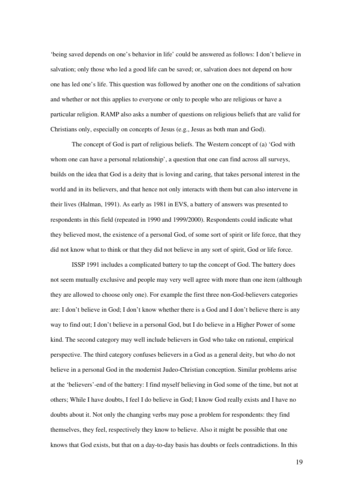'being saved depends on one's behavior in life' could be answered as follows: I don't believe in salvation; only those who led a good life can be saved; or, salvation does not depend on how one has led one's life. This question was followed by another one on the conditions of salvation and whether or not this applies to everyone or only to people who are religious or have a particular religion. RAMP also asks a number of questions on religious beliefs that are valid for Christians only, especially on concepts of Jesus (e.g., Jesus as both man and God).

The concept of God is part of religious beliefs. The Western concept of (a) 'God with whom one can have a personal relationship', a question that one can find across all surveys, builds on the idea that God is a deity that is loving and caring, that takes personal interest in the world and in its believers, and that hence not only interacts with them but can also intervene in their lives (Halman, 1991). As early as 1981 in EVS, a battery of answers was presented to respondents in this field (repeated in 1990 and 1999/2000). Respondents could indicate what they believed most, the existence of a personal God, of some sort of spirit or life force, that they did not know what to think or that they did not believe in any sort of spirit, God or life force.

ISSP 1991 includes a complicated battery to tap the concept of God. The battery does not seem mutually exclusive and people may very well agree with more than one item (although they are allowed to choose only one). For example the first three non-God-believers categories are: I don't believe in God; I don't know whether there is a God and I don't believe there is any way to find out; I don't believe in a personal God, but I do believe in a Higher Power of some kind. The second category may well include believers in God who take on rational, empirical perspective. The third category confuses believers in a God as a general deity, but who do not believe in a personal God in the modernist Judeo-Christian conception. Similar problems arise at the 'believers'-end of the battery: I find myself believing in God some of the time, but not at others; While I have doubts, I feel I do believe in God; I know God really exists and I have no doubts about it. Not only the changing verbs may pose a problem for respondents: they find themselves, they feel, respectively they know to believe. Also it might be possible that one knows that God exists, but that on a day-to-day basis has doubts or feels contradictions. In this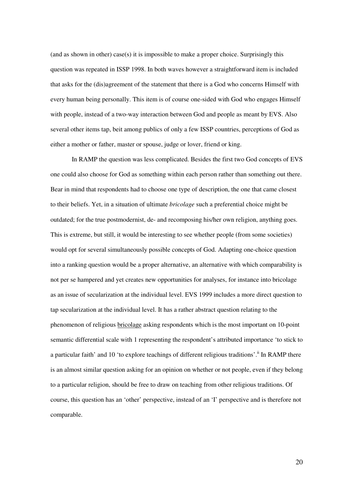(and as shown in other) case(s) it is impossible to make a proper choice. Surprisingly this question was repeated in ISSP 1998. In both waves however a straightforward item is included that asks for the (dis)agreement of the statement that there is a God who concerns Himself with every human being personally. This item is of course one-sided with God who engages Himself with people, instead of a two-way interaction between God and people as meant by EVS. Also several other items tap, beit among publics of only a few ISSP countries, perceptions of God as either a mother or father, master or spouse, judge or lover, friend or king.

In RAMP the question was less complicated. Besides the first two God concepts of EVS one could also choose for God as something within each person rather than something out there. Bear in mind that respondents had to choose one type of description, the one that came closest to their beliefs. Yet, in a situation of ultimate *bricolage* such a preferential choice might be outdated; for the true postmodernist, de- and recomposing his/her own religion, anything goes. This is extreme, but still, it would be interesting to see whether people (from some societies) would opt for several simultaneously possible concepts of God. Adapting one-choice question into a ranking question would be a proper alternative, an alternative with which comparability is not per se hampered and yet creates new opportunities for analyses, for instance into bricolage as an issue of secularization at the individual level. EVS 1999 includes a more direct question to tap secularization at the individual level. It has a rather abstract question relating to the phenomenon of religious bricolage asking respondents which is the most important on 10-point semantic differential scale with 1 representing the respondent's attributed importance 'to stick to a particular faith' and 10 'to explore teachings of different religious traditions'.<sup>ii</sup> In RAMP there is an almost similar question asking for an opinion on whether or not people, even if they belong to a particular religion, should be free to draw on teaching from other religious traditions. Of course, this question has an 'other' perspective, instead of an 'I' perspective and is therefore not comparable.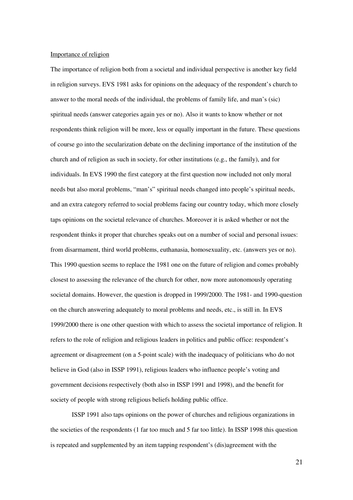### Importance of religion

The importance of religion both from a societal and individual perspective is another key field in religion surveys. EVS 1981 asks for opinions on the adequacy of the respondent's church to answer to the moral needs of the individual, the problems of family life, and man's (sic) spiritual needs (answer categories again yes or no). Also it wants to know whether or not respondents think religion will be more, less or equally important in the future. These questions of course go into the secularization debate on the declining importance of the institution of the church and of religion as such in society, for other institutions (e.g., the family), and for individuals. In EVS 1990 the first category at the first question now included not only moral needs but also moral problems, "man's" spiritual needs changed into people's spiritual needs, and an extra category referred to social problems facing our country today, which more closely taps opinions on the societal relevance of churches. Moreover it is asked whether or not the respondent thinks it proper that churches speaks out on a number of social and personal issues: from disarmament, third world problems, euthanasia, homosexuality, etc. (answers yes or no). This 1990 question seems to replace the 1981 one on the future of religion and comes probably closest to assessing the relevance of the church for other, now more autonomously operating societal domains. However, the question is dropped in 1999/2000. The 1981- and 1990-question on the church answering adequately to moral problems and needs, etc., is still in. In EVS 1999/2000 there is one other question with which to assess the societal importance of religion. It refers to the role of religion and religious leaders in politics and public office: respondent's agreement or disagreement (on a 5-point scale) with the inadequacy of politicians who do not believe in God (also in ISSP 1991), religious leaders who influence people's voting and government decisions respectively (both also in ISSP 1991 and 1998), and the benefit for society of people with strong religious beliefs holding public office.

ISSP 1991 also taps opinions on the power of churches and religious organizations in the societies of the respondents (1 far too much and 5 far too little). In ISSP 1998 this question is repeated and supplemented by an item tapping respondent's (dis)agreement with the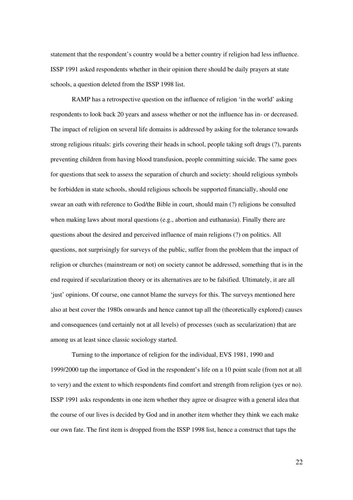statement that the respondent's country would be a better country if religion had less influence. ISSP 1991 asked respondents whether in their opinion there should be daily prayers at state schools, a question deleted from the ISSP 1998 list.

RAMP has a retrospective question on the influence of religion 'in the world' asking respondents to look back 20 years and assess whether or not the influence has in- or decreased. The impact of religion on several life domains is addressed by asking for the tolerance towards strong religious rituals: girls covering their heads in school, people taking soft drugs (?), parents preventing children from having blood transfusion, people committing suicide. The same goes for questions that seek to assess the separation of church and society: should religious symbols be forbidden in state schools, should religious schools be supported financially, should one swear an oath with reference to God/the Bible in court, should main (?) religions be consulted when making laws about moral questions (e.g., abortion and euthanasia). Finally there are questions about the desired and perceived influence of main religions (?) on politics. All questions, not surprisingly for surveys of the public, suffer from the problem that the impact of religion or churches (mainstream or not) on society cannot be addressed, something that is in the end required if secularization theory or its alternatives are to be falsified. Ultimately, it are all 'just' opinions. Of course, one cannot blame the surveys for this. The surveys mentioned here also at best cover the 1980s onwards and hence cannot tap all the (theoretically explored) causes and consequences (and certainly not at all levels) of processes (such as secularization) that are among us at least since classic sociology started.

Turning to the importance of religion for the individual, EVS 1981, 1990 and 1999/2000 tap the importance of God in the respondent's life on a 10 point scale (from not at all to very) and the extent to which respondents find comfort and strength from religion (yes or no). ISSP 1991 asks respondents in one item whether they agree or disagree with a general idea that the course of our lives is decided by God and in another item whether they think we each make our own fate. The first item is dropped from the ISSP 1998 list, hence a construct that taps the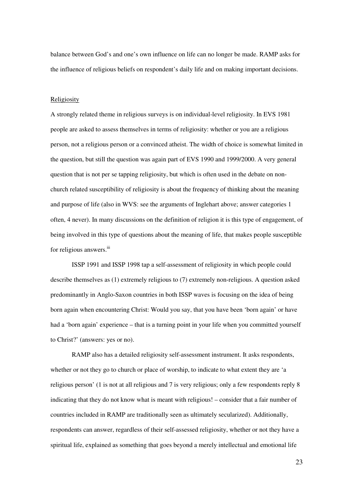balance between God's and one's own influence on life can no longer be made. RAMP asks for the influence of religious beliefs on respondent's daily life and on making important decisions.

#### Religiosity

A strongly related theme in religious surveys is on individual-level religiosity. In EVS 1981 people are asked to assess themselves in terms of religiosity: whether or you are a religious person, not a religious person or a convinced atheist. The width of choice is somewhat limited in the question, but still the question was again part of EVS 1990 and 1999/2000. A very general question that is not per se tapping religiosity, but which is often used in the debate on nonchurch related susceptibility of religiosity is about the frequency of thinking about the meaning and purpose of life (also in WVS: see the arguments of Inglehart above; answer categories 1 often, 4 never). In many discussions on the definition of religion it is this type of engagement, of being involved in this type of questions about the meaning of life, that makes people susceptible for religious answers.<sup>iii</sup>

ISSP 1991 and ISSP 1998 tap a self-assessment of religiosity in which people could describe themselves as (1) extremely religious to (7) extremely non-religious. A question asked predominantly in Anglo-Saxon countries in both ISSP waves is focusing on the idea of being born again when encountering Christ: Would you say, that you have been 'born again' or have had a 'born again' experience – that is a turning point in your life when you committed yourself to Christ?' (answers: yes or no).

RAMP also has a detailed religiosity self-assessment instrument. It asks respondents, whether or not they go to church or place of worship, to indicate to what extent they are 'a religious person' (1 is not at all religious and 7 is very religious; only a few respondents reply 8 indicating that they do not know what is meant with religious! – consider that a fair number of countries included in RAMP are traditionally seen as ultimately secularized). Additionally, respondents can answer, regardless of their self-assessed religiosity, whether or not they have a spiritual life, explained as something that goes beyond a merely intellectual and emotional life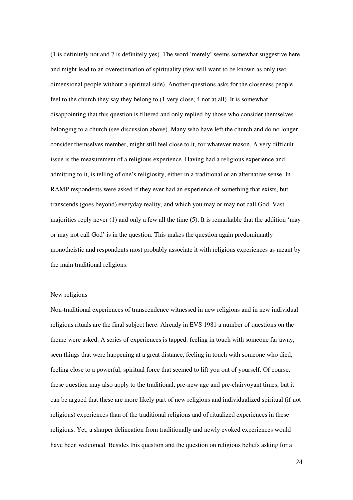(1 is definitely not and 7 is definitely yes). The word 'merely' seems somewhat suggestive here and might lead to an overestimation of spirituality (few will want to be known as only twodimensional people without a spiritual side). Another questions asks for the closeness people feel to the church they say they belong to (1 very close, 4 not at all). It is somewhat disappointing that this question is filtered and only replied by those who consider themselves belonging to a church (see discussion above). Many who have left the church and do no longer consider themselves member, might still feel close to it, for whatever reason. A very difficult issue is the measurement of a religious experience. Having had a religious experience and admitting to it, is telling of one's religiosity, either in a traditional or an alternative sense. In RAMP respondents were asked if they ever had an experience of something that exists, but transcends (goes beyond) everyday reality, and which you may or may not call God. Vast majorities reply never (1) and only a few all the time (5). It is remarkable that the addition 'may or may not call God' is in the question. This makes the question again predominantly monotheistic and respondents most probably associate it with religious experiences as meant by the main traditional religions.

### New religions

Non-traditional experiences of transcendence witnessed in new religions and in new individual religious rituals are the final subject here. Already in EVS 1981 a number of questions on the theme were asked. A series of experiences is tapped: feeling in touch with someone far away, seen things that were happening at a great distance, feeling in touch with someone who died, feeling close to a powerful, spiritual force that seemed to lift you out of yourself. Of course, these question may also apply to the traditional, pre-new age and pre-clairvoyant times, but it can be argued that these are more likely part of new religions and individualized spiritual (if not religious) experiences than of the traditional religions and of ritualized experiences in these religions. Yet, a sharper delineation from traditionally and newly evoked experiences would have been welcomed. Besides this question and the question on religious beliefs asking for a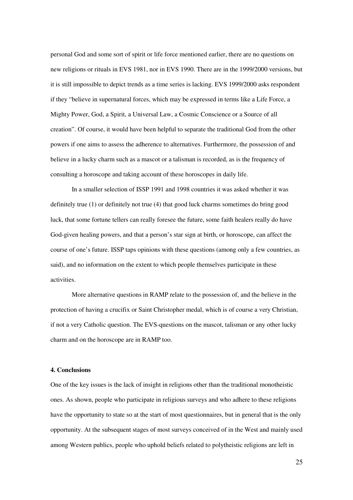personal God and some sort of spirit or life force mentioned earlier, there are no questions on new religions or rituals in EVS 1981, nor in EVS 1990. There are in the 1999/2000 versions, but it is still impossible to depict trends as a time series is lacking. EVS 1999/2000 asks respondent if they "believe in supernatural forces, which may be expressed in terms like a Life Force, a Mighty Power, God, a Spirit, a Universal Law, a Cosmic Conscience or a Source of all creation". Of course, it would have been helpful to separate the traditional God from the other powers if one aims to assess the adherence to alternatives. Furthermore, the possession of and believe in a lucky charm such as a mascot or a talisman is recorded, as is the frequency of consulting a horoscope and taking account of these horoscopes in daily life.

In a smaller selection of ISSP 1991 and 1998 countries it was asked whether it was definitely true (1) or definitely not true (4) that good luck charms sometimes do bring good luck, that some fortune tellers can really foresee the future, some faith healers really do have God-given healing powers, and that a person's star sign at birth, or horoscope, can affect the course of one's future. ISSP taps opinions with these questions (among only a few countries, as said), and no information on the extent to which people themselves participate in these activities.

More alternative questions in RAMP relate to the possession of, and the believe in the protection of having a crucifix or Saint Christopher medal, which is of course a very Christian, if not a very Catholic question. The EVS-questions on the mascot, talisman or any other lucky charm and on the horoscope are in RAMP too.

### **4. Conclusions**

One of the key issues is the lack of insight in religions other than the traditional monotheistic ones. As shown, people who participate in religious surveys and who adhere to these religions have the opportunity to state so at the start of most questionnaires, but in general that is the only opportunity. At the subsequent stages of most surveys conceived of in the West and mainly used among Western publics, people who uphold beliefs related to polytheistic religions are left in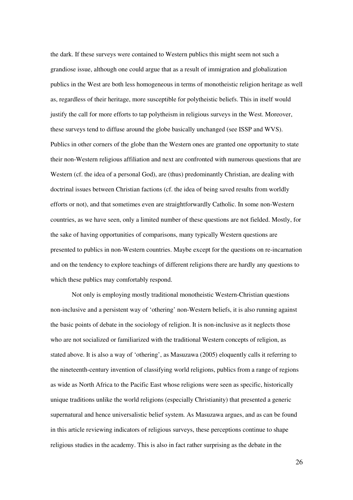the dark. If these surveys were contained to Western publics this might seem not such a grandiose issue, although one could argue that as a result of immigration and globalization publics in the West are both less homogeneous in terms of monotheistic religion heritage as well as, regardless of their heritage, more susceptible for polytheistic beliefs. This in itself would justify the call for more efforts to tap polytheism in religious surveys in the West. Moreover, these surveys tend to diffuse around the globe basically unchanged (see ISSP and WVS). Publics in other corners of the globe than the Western ones are granted one opportunity to state their non-Western religious affiliation and next are confronted with numerous questions that are Western (cf. the idea of a personal God), are (thus) predominantly Christian, are dealing with doctrinal issues between Christian factions (cf. the idea of being saved results from worldly efforts or not), and that sometimes even are straightforwardly Catholic. In some non-Western countries, as we have seen, only a limited number of these questions are not fielded. Mostly, for the sake of having opportunities of comparisons, many typically Western questions are presented to publics in non-Western countries. Maybe except for the questions on re-incarnation and on the tendency to explore teachings of different religions there are hardly any questions to which these publics may comfortably respond.

Not only is employing mostly traditional monotheistic Western-Christian questions non-inclusive and a persistent way of 'othering' non-Western beliefs, it is also running against the basic points of debate in the sociology of religion. It is non-inclusive as it neglects those who are not socialized or familiarized with the traditional Western concepts of religion, as stated above. It is also a way of 'othering', as Masuzawa (2005) eloquently calls it referring to the nineteenth-century invention of classifying world religions, publics from a range of regions as wide as North Africa to the Pacific East whose religions were seen as specific, historically unique traditions unlike the world religions (especially Christianity) that presented a generic supernatural and hence universalistic belief system. As Masuzawa argues, and as can be found in this article reviewing indicators of religious surveys, these perceptions continue to shape religious studies in the academy. This is also in fact rather surprising as the debate in the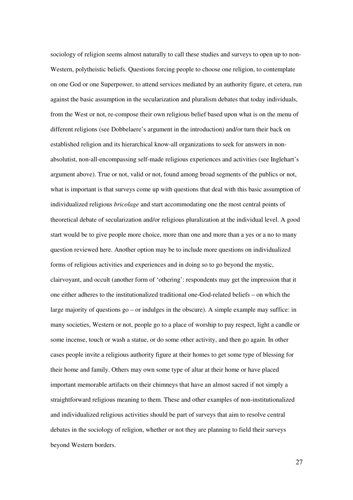sociology of religion seems almost naturally to call these studies and surveys to open up to non-Western, polytheistic beliefs. Questions forcing people to choose one religion, to contemplate on one God or one Superpower, to attend services mediated by an authority figure, et cetera, run against the basic assumption in the secularization and pluralism debates that today individuals, from the West or not, re-compose their own religious belief based upon what is on the menu of different religions (see Dobbelaere's argument in the introduction) and/or turn their back on established religion and its hierarchical know-all organizations to seek for answers in nonabsolutist, non-all-encompassing self-made religious experiences and activities (see Inglehart's argument above). True or not, valid or not, found among broad segments of the publics or not, what is important is that surveys come up with questions that deal with this basic assumption of individualized religious *bricolage* and start accommodating one the most central points of theoretical debate of secularization and/or religious pluralization at the individual level. A good start would be to give people more choice, more than one and more than a yes or a no to many question reviewed here. Another option may be to include more questions on individualized forms of religious activities and experiences and in doing so to go beyond the mystic, clairvoyant, and occult (another form of 'othering': respondents may get the impression that it one either adheres to the institutionalized traditional one-God-related beliefs – on which the large majority of questions go – or indulges in the obscure). A simple example may suffice: in many societies, Western or not, people go to a place of worship to pay respect, light a candle or some incense, touch or wash a statue, or do some other activity, and then go again. In other cases people invite a religious authority figure at their homes to get some type of blessing for their home and family. Others may own some type of altar at their home or have placed important memorable artifacts on their chimneys that have an almost sacred if not simply a straightforward religious meaning to them. These and other examples of non-institutionalized and individualized religious activities should be part of surveys that aim to resolve central debates in the sociology of religion, whether or not they are planning to field their surveys beyond Western borders.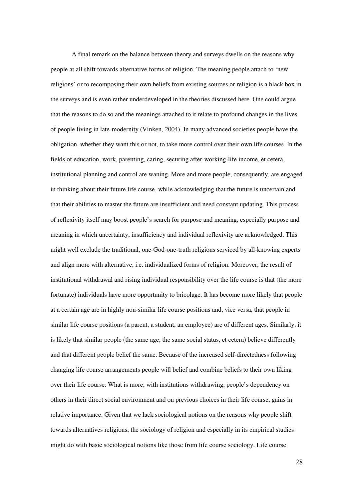A final remark on the balance between theory and surveys dwells on the reasons why people at all shift towards alternative forms of religion. The meaning people attach to 'new religions' or to recomposing their own beliefs from existing sources or religion is a black box in the surveys and is even rather underdeveloped in the theories discussed here. One could argue that the reasons to do so and the meanings attached to it relate to profound changes in the lives of people living in late-modernity (Vinken, 2004). In many advanced societies people have the obligation, whether they want this or not, to take more control over their own life courses. In the fields of education, work, parenting, caring, securing after-working-life income, et cetera, institutional planning and control are waning. More and more people, consequently, are engaged in thinking about their future life course, while acknowledging that the future is uncertain and that their abilities to master the future are insufficient and need constant updating. This process of reflexivity itself may boost people's search for purpose and meaning, especially purpose and meaning in which uncertainty, insufficiency and individual reflexivity are acknowledged. This might well exclude the traditional, one-God-one-truth religions serviced by all-knowing experts and align more with alternative, i.e. individualized forms of religion. Moreover, the result of institutional withdrawal and rising individual responsibility over the life course is that (the more fortunate) individuals have more opportunity to bricolage. It has become more likely that people at a certain age are in highly non-similar life course positions and, vice versa, that people in similar life course positions (a parent, a student, an employee) are of different ages. Similarly, it is likely that similar people (the same age, the same social status, et cetera) believe differently and that different people belief the same. Because of the increased self-directedness following changing life course arrangements people will belief and combine beliefs to their own liking over their life course. What is more, with institutions withdrawing, people's dependency on others in their direct social environment and on previous choices in their life course, gains in relative importance. Given that we lack sociological notions on the reasons why people shift towards alternatives religions, the sociology of religion and especially in its empirical studies might do with basic sociological notions like those from life course sociology. Life course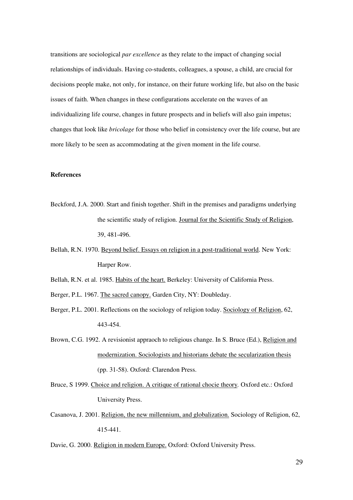transitions are sociological *par excellence* as they relate to the impact of changing social relationships of individuals. Having co-students, colleagues, a spouse, a child, are crucial for decisions people make, not only, for instance, on their future working life, but also on the basic issues of faith. When changes in these configurations accelerate on the waves of an individualizing life course, changes in future prospects and in beliefs will also gain impetus; changes that look like *bricolage* for those who belief in consistency over the life course, but are more likely to be seen as accommodating at the given moment in the life course.

# **References**

- Beckford, J.A. 2000. Start and finish together. Shift in the premises and paradigms underlying the scientific study of religion. Journal for the Scientific Study of Religion, 39, 481-496.
- Bellah, R.N. 1970. Beyond belief. Essays on religion in a post-traditional world. New York: Harper Row.
- Bellah, R.N. et al. 1985. Habits of the heart. Berkeley: University of California Press.
- Berger, P.L. 1967. The sacred canopy. Garden City, NY: Doubleday.
- Berger, P.L. 2001. Reflections on the sociology of religion today. Sociology of Religion, 62, 443-454.
- Brown, C.G. 1992. A revisionist appraoch to religious change. In S. Bruce (Ed.), Religion and modernization. Sociologists and historians debate the secularization thesis (pp. 31-58). Oxford: Clarendon Press.
- Bruce, S 1999. Choice and religion. A critique of rational chocie theory*.* Oxford etc.: Oxford University Press.
- Casanova, J. 2001. Religion, the new millennium, and globalization. Sociology of Religion, 62, 415-441.

Davie, G. 2000. Religion in modern Europe. Oxford: Oxford University Press.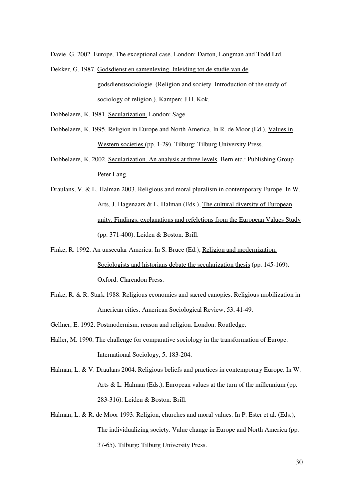Davie, G. 2002. Europe. The exceptional case. London: Darton, Longman and Todd Ltd.

Dekker, G. 1987. Godsdienst en samenleving. Inleiding tot de studie van de godsdienstsociologie. (Religion and society. Introduction of the study of sociology of religion.). Kampen: J.H. Kok.

Dobbelaere, K. 1981. Secularization. London: Sage.

- Dobbelaere, K. 1995. Religion in Europe and North America. In R. de Moor (Ed.), Values in Western societies (pp. 1-29). Tilburg: Tilburg University Press.
- Dobbelaere, K. 2002. Secularization. An analysis at three levels*.* Bern etc.: Publishing Group Peter Lang.
- Draulans, V. & L. Halman 2003. Religious and moral pluralism in contemporary Europe. In W. Arts, J. Hagenaars & L. Halman (Eds.), The cultural diversity of European unity. Findings, explanations and refelctions from the European Values Study (pp. 371-400). Leiden & Boston: Brill.
- Finke, R. 1992. An unsecular America. In S. Bruce (Ed.), Religion and modernization. Sociologists and historians debate the secularization thesis (pp. 145-169). Oxford: Clarendon Press.
- Finke, R. & R. Stark 1988. Religious economies and sacred canopies. Religious mobilization in American cities. American Sociological Review, 53, 41-49.
- Gellner, E. 1992. Postmodernism, reason and religion*.* London: Routledge.
- Haller, M. 1990. The challenge for comparative sociology in the transformation of Europe. International Sociology, 5, 183-204.
- Halman, L. & V. Draulans 2004. Religious beliefs and practices in contemporary Europe. In W. Arts & L. Halman (Eds.), European values at the turn of the millennium (pp. 283-316). Leiden & Boston: Brill.
- Halman, L. & R. de Moor 1993. Religion, churches and moral values. In P. Ester et al. (Eds.), The individualizing society. Value change in Europe and North America (pp. 37-65). Tilburg: Tilburg University Press.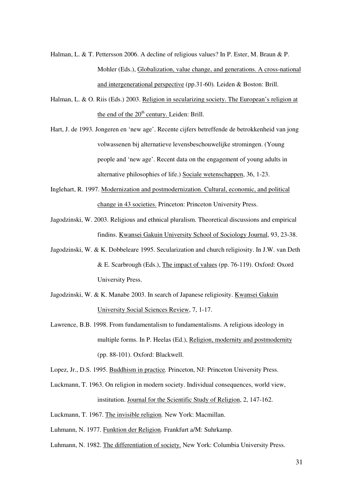- Halman, L. & T. Pettersson 2006. A decline of religious values? In P. Ester, M. Braun & P. Mohler (Eds.), Globalization, value change, and generations. A cross-national and intergenerational perspective (pp.31-60)*.* Leiden & Boston: Brill.
- Halman, L. & O. Riis (Eds.) 2003. Religion in secularizing society. The European's religion at the end of the 20<sup>th</sup> century. Leiden: Brill.
- Hart, J. de 1993. Jongeren en 'new age'. Recente cijfers betreffende de betrokkenheid van jong volwassenen bij alternatieve levensbeschouwelijke stromingen. (Young people and 'new age'. Recent data on the engagement of young adults in alternative philosophies of life.) Sociale wetenschappen, 36, 1-23.
- Inglehart, R. 1997. Modernization and postmodernization. Cultural, economic, and political change in 43 societies. Princeton: Princeton University Press.
- Jagodzinski, W. 2003. Religious and ethnical pluralism. Theoretical discussions and empirical findins. Kwansei Gakuin University School of Sociology Journal, 93, 23-38.
- Jagodzinski, W. & K. Dobbeleare 1995. Secularization and church religiosity. In J.W. van Deth & E. Scarbrough (Eds.), The impact of values (pp. 76-119). Oxford: Oxord University Press.
- Jagodzinski, W. & K. Manabe 2003. In search of Japanese religiosity. Kwansei Gakuin University Social Sciences Review, 7, 1-17.
- Lawrence, B.B. 1998. From fundamentalism to fundamentalisms. A religious ideology in multiple forms. In P. Heelas (Ed.), Religion, modernity and postmodernity (pp. 88-101). Oxford: Blackwell.
- Lopez, Jr., D.S. 1995. Buddhism in practice*.* Princeton, NJ: Princeton University Press.
- Luckmann, T. 1963. On religion in modern society. Individual consequences, world view, institution. Journal for the Scientific Study of Religion, 2, 147-162.
- Luckmann, T. 1967. The invisible religion*.* New York: Macmillan.

Luhmann, N. 1977. Funktion der Religion*.* Frankfurt a/M: Suhrkamp.

Luhmann, N. 1982. The differentiation of society. New York: Columbia University Press.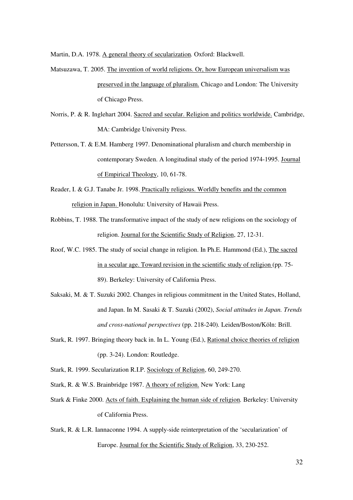Martin, D.A. 1978. A general theory of secularization*.* Oxford: Blackwell.

- Matsuzawa, T. 2005. The invention of world religions. Or, how European universalism was preserved in the language of pluralism. Chicago and London: The University of Chicago Press.
- Norris, P. & R. Inglehart 2004. Sacred and secular. Religion and politics worldwide. Cambridge, MA: Cambridge University Press.
- Pettersson, T. & E.M. Hamberg 1997. Denominational pluralism and church membership in contemporary Sweden. A longitudinal study of the period 1974-1995. Journal of Empirical Theology, 10, 61-78.
- Reader, I. & G.J. Tanabe Jr. 1998. Practically religious. Worldly benefits and the common religion in Japan. Honolulu: University of Hawaii Press.
- Robbins, T. 1988. The transformative impact of the study of new religions on the sociology of religion. Journal for the Scientific Study of Religion, 27, 12-31.
- Roof, W.C. 1985. The study of social change in religion. In Ph.E. Hammond (Ed.), The sacred in a secular age. Toward revision in the scientific study of religion (pp. 75- 89). Berkeley: University of California Press.
- Saksaki, M. & T. Suzuki 2002. Changes in religious commitment in the United States, Holland, and Japan. In M. Sasaki & T. Suzuki (2002), *Social attitudes in Japan. Trends and cross-national perspectives* (pp. 218-240)*.* Leiden/Boston/Köln: Brill.
- Stark, R. 1997. Bringing theory back in. In L. Young (Ed.), Rational choice theories of religion (pp. 3-24). London: Routledge.
- Stark, R. 1999. Secularization R.I.P. Sociology of Religion, 60, 249-270.
- Stark, R. & W.S. Brainbridge 1987. A theory of religion. New York: Lang
- Stark & Finke 2000. Acts of faith. Explaining the human side of religion*.* Berkeley: University of California Press.
- Stark, R. & L.R. Iannaconne 1994. A supply-side reinterpretation of the 'secularization' of Europe. Journal for the Scientific Study of Religion, 33, 230-252.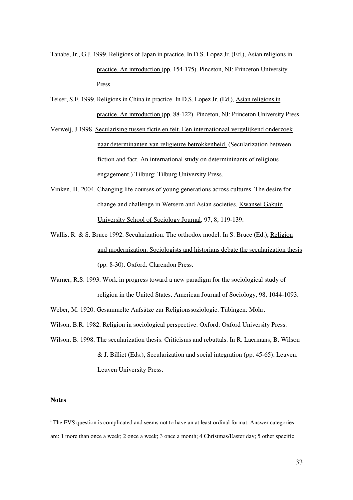- Tanabe, Jr., G.J. 1999. Religions of Japan in practice. In D.S. Lopez Jr. (Ed.), Asian religions in practice. An introduction (pp. 154-175). Pinceton, NJ: Princeton University Press.
- Teiser, S.F. 1999. Religions in China in practice. In D.S. Lopez Jr. (Ed.), Asian religions in practice. An introduction (pp. 88-122). Pinceton, NJ: Princeton University Press.
- Verweij, J 1998. Secularising tussen fictie en feit. Een internationaal vergelijkend onderzoek naar determinanten van religieuze betrokkenheid. (Secularization between fiction and fact. An international study on determininants of religious engagement.) Tilburg: Tilburg University Press.
- Vinken, H. 2004. Changing life courses of young generations across cultures. The desire for change and challenge in Wetsern and Asian societies. Kwansei Gakuin University School of Sociology Journal, 97, 8, 119-139.
- Wallis, R. & S. Bruce 1992. Secularization. The orthodox model. In S. Bruce (Ed.), Religion and modernization. Sociologists and historians debate the secularization thesis (pp. 8-30). Oxford: Clarendon Press.
- Warner, R.S. 1993. Work in progress toward a new paradigm for the sociological study of religion in the United States. American Journal of Sociology, 98, 1044-1093.
- Weber, M. 1920. Gesammelte Aufsätze zur Religionssoziologie. Tübingen: Mohr.
- Wilson, B.R. 1982. Religion in sociological perspective. Oxford: Oxford University Press.
- Wilson, B. 1998. The secularization thesis. Criticisms and rebuttals. In R. Laermans, B. Wilson & J. Billiet (Eds.), Secularization and social integration (pp. 45-65). Leuven: Leuven University Press.

# **Notes**

<sup>&</sup>lt;sup>i</sup> The EVS question is complicated and seems not to have an at least ordinal format. Answer categories are: 1 more than once a week; 2 once a week; 3 once a month; 4 Christmas/Easter day; 5 other specific